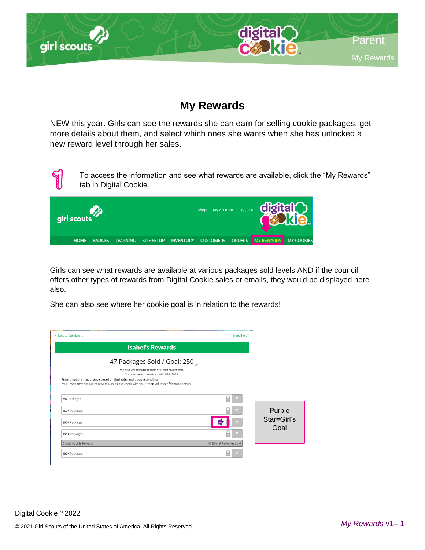

## **My Rewards**

NEW this year. Girls can see the rewards she can earn for selling cookie packages, get more details about them, and select which ones she wants when she has unlocked a new reward level through her sales.



To access the information and see what rewards are available, click the "My Rewards" tab in Digital Cookie.



Girls can see what rewards are available at various packages sold levels AND if the council offers other types of rewards from Digital Cookie sales or emails, they would be displayed here also.

She can also see where her cookie goal is in relation to the rewards!

| < Back to Dashboard                                                                                                                                                                                                                                                                                         | Need help?               |                     |
|-------------------------------------------------------------------------------------------------------------------------------------------------------------------------------------------------------------------------------------------------------------------------------------------------------------|--------------------------|---------------------|
| <b>Isabel's Rewards</b>                                                                                                                                                                                                                                                                                     |                          |                     |
| 47 Packages Sold / Goal: 250<br>You have 203 packages to reach your next reward level.<br>You can select rewards until 3/31/2022<br>Reward options may change based on final sales and troop reconciling.<br>Your Troop may opt out of rewards, so please check with your troop volunteer for more details. |                          |                     |
| 75+ Packages                                                                                                                                                                                                                                                                                                |                          |                     |
| 150+ Packages                                                                                                                                                                                                                                                                                               |                          | Purple              |
| 200+ Packages                                                                                                                                                                                                                                                                                               |                          | Star=Girl's<br>Goal |
| 350+ Packages                                                                                                                                                                                                                                                                                               |                          |                     |
| Digital Cookie Rewards                                                                                                                                                                                                                                                                                      | 41 Digital Packages Sold |                     |
| 100+ Packages                                                                                                                                                                                                                                                                                               |                          |                     |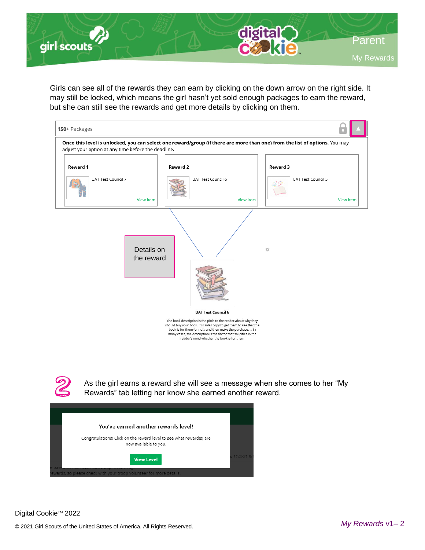

Girls can see all of the rewards they can earn by clicking on the down arrow on the right side. It may still be locked, which means the girl hasn't yet sold enough packages to earn the reward, but she can still see the rewards and get more details by clicking on them.





As the girl earns a reward she will see a message when she comes to her "My Rewards" tab letting her know she earned another reward.